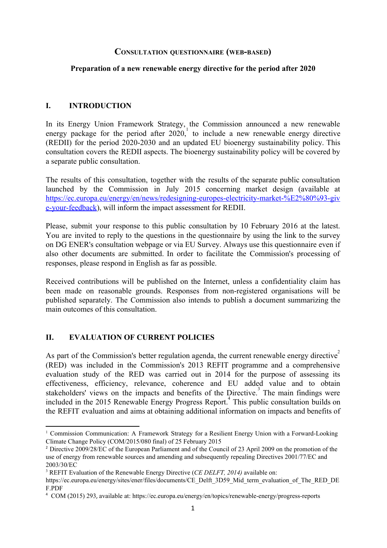## **CONSULTATION QUESTIONNAIRE (WEBBASED)**

### **Preparation of a new renewable energy directive for the period after 2020**

### **I. INTRODUCTION**

In its Energy Union Framework Strategy, the Commission announced a new renewable energy package for the period after  $2020$ , to include a new renewable energy directive  $(REDII)$  for the period 2020-2030 and an updated EU bioenergy sustainability policy. This consultation covers the REDII aspects. The bioenergy sustainability policy will be covered by a separate public consultation.

The results of this consultation, together with the results of the separate public consultation launched by the Commission in July 2015 concerning market design (available at https://ec.europa.eu/energy/en/news/redesigning-europes-electricity-market-%E2%80%93-giv e-your-feedback), will inform the impact assessment for REDII.

Please, submit your response to this public consultation by 10 February 2016 at the latest. You are invited to reply to the questions in the questionnaire by using the link to the survey on DG ENER's consultation webpage or via EU Survey. Always use this questionnaire even if also other documents are submitted. In order to facilitate the Commission's processing of responses, please respond in English as far as possible.

Received contributions will be published on the Internet, unless a confidentiality claim has been made on reasonable grounds. Responses from non-registered organisations will be published separately. The Commission also intends to publish a document summarizing the main outcomes of this consultation.

## **II. EVALUATION OF CURRENT POLICIES**

As part of the Commission's better regulation agenda, the current renewable energy directive<sup>2</sup> (RED) was included in the Commission's 2013 REFIT programme and a comprehensive evaluation study of the RED was carried out in 2014 for the purpose of assessing its effectiveness, efficiency, relevance, coherence and EU added value and to obtain stakeholders' views on the impacts and benefits of the Directive.<sup>3</sup> The main findings were included in the 2015 Renewable Energy Progress Report.<sup>4</sup> This public consultation builds on the REFIT evaluation and aims at obtaining additional information on impacts and benefits of

<sup>&</sup>lt;sup>1</sup> Commission Communication: A Framework Strategy for a Resilient Energy Union with a Forward-Looking Climate Change Policy (COM/2015/080 final) of 25 February 2015

<sup>2</sup> Directive 2009/28/EC of the European Parliament and of the Council of 23 April 2009 on the promotion of the use of energy from renewable sources and amending and subsequently repealing Directives 2001/77/EC and 2003/30/EC

<sup>3</sup> REFIT Evaluation of the Renewable Energy Directive (*CE DELFT, 2014)* available on:

https://ec.europa.eu/energy/sites/ener/files/documents/CE\_Delft\_3D59\_Mid\_term\_evaluation\_of\_The\_RED\_DE F.PDF

<sup>&</sup>lt;sup>4</sup> COM (2015) 293, available at: https://ec.europa.eu/energy/en/topics/renewable-energy/progress-reports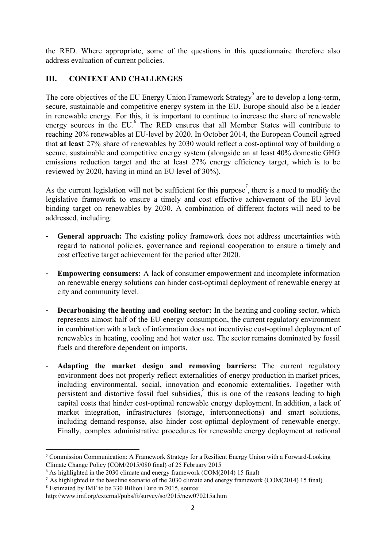the RED. Where appropriate, some of the questions in this questionnaire therefore also address evaluation of current policies.

# **III. CONTEXT AND CHALLENGES**

The core objectives of the EU Energy Union Framework Strategy<sup>5</sup> are to develop a long-term, secure, sustainable and competitive energy system in the EU. Europe should also be a leader in renewable energy. For this, it is important to continue to increase the share of renewable energy sources in the EU. $\overset{6}{ }$  The RED ensures that all Member States will contribute to reaching 20% renewables at EU-level by 2020. In October 2014, the European Council agreed that **at least** 27% share of renewables by 2030 would reflect a cost-optimal way of building a secure, sustainable and competitive energy system (alongside an at least 40% domestic GHG emissions reduction target and the at least 27% energy efficiency target, which is to be reviewed by 2020, having in mind an EU level of 30%).

As the current legislation will not be sufficient for this purpose<sup>7</sup>, there is a need to modify the legislative framework to ensure a timely and cost effective achievement of the EU level binding target on renewables by 2030. A combination of different factors will need to be addressed, including:

- **General approach:** The existing policy framework does not address uncertainties with regard to national policies, governance and regional cooperation to ensure a timely and cost effective target achievement for the period after 2020.
- **Empowering consumers:** A lack of consumer empowerment and incomplete information on renewable energy solutions can hinder cost-optimal deployment of renewable energy at city and community level.
- **Decarbonising the heating and cooling sector:** In the heating and cooling sector, which represents almost half of the EU energy consumption, the current regulatory environment in combination with a lack of information does not incentivise cost-optimal deployment of renewables in heating, cooling and hot water use. The sector remains dominated by fossil fuels and therefore dependent on imports.
- **Adapting the market design and removing barriers:** The current regulatory environment does not properly reflect externalities of energy production in market prices, including environmental, social, innovation and economic externalities. Together with persistent and distortive fossil fuel subsidies, $\frac{8}{3}$  this is one of the reasons leading to high capital costs that hinder cost-optimal renewable energy deployment. In addition, a lack of market integration, infrastructures (storage, interconnections) and smart solutions, including demand-response, also hinder cost-optimal deployment of renewable energy. Finally, complex administrative procedures for renewable energy deployment at national

 $5$  Commission Communication: A Framework Strategy for a Resilient Energy Union with a Forward-Looking Climate Change Policy (COM/2015/080 final) of 25 February 2015

<sup>6</sup> As highlighted in the 2030 climate and energy framework (COM(2014) 15 final)

<sup>7</sup> As highlighted in the baseline scenario of the 2030 climate and energy framework (COM(2014) 15 final)

<sup>8</sup> Estimated by IMF to be 330 Billion Euro in 2015, source:

http://www.imf.org/external/pubs/ft/survey/so/2015/new070215a.htm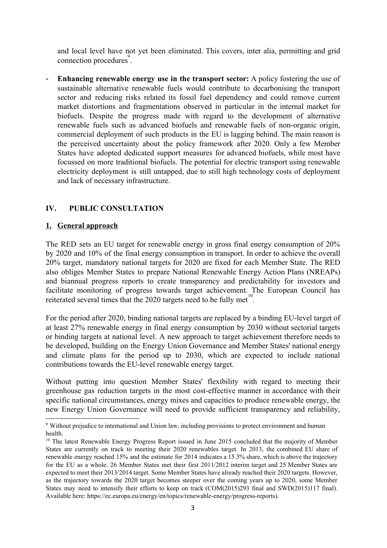and local level have not yet been eliminated. This covers, inter alia, permitting and grid connection procedures<sup>9</sup>.

 **Enhancing renewable energy use in the transport sector:** A policy fostering the use of sustainable alternative renewable fuels would contribute to decarbonising the transport sector and reducing risks related its fossil fuel dependency and could remove current market distortions and fragmentations observed in particular in the internal market for biofuels. Despite the progress made with regard to the development of alternative renewable fuels such as advanced biofuels and renewable fuels of non-organic origin, commercial deployment of such products in the EU is lagging behind. The main reason is the perceived uncertainty about the policy framework after 2020. Only a few Member States have adopted dedicated support measures for advanced biofuels, while most have focussed on more traditional biofuels. The potential for electric transport using renewable electricity deployment is still untapped, due to still high technology costs of deployment and lack of necessary infrastructure.

# **IV. PUBLIC CONSULTATION**

### **1. General approach**

The RED sets an EU target for renewable energy in gross final energy consumption of 20% by 2020 and 10% of the final energy consumption in transport. In order to achieve the overall 20% target, mandatory national targets for 2020 are fixed for each Member State. The RED also obliges Member States to prepare National Renewable Energy Action Plans (NREAPs) and biannual progress reports to create transparency and predictability for investors and facilitate monitoring of progress towards target achievement. The European Council has reiterated several times that the 2020 targets need to be fully met<sup>10</sup>.

For the period after 2020, binding national targets are replaced by a binding EU-level target of at least 27% renewable energy in final energy consumption by 2030 without sectorial targets or binding targets at national level. A new approach to target achievement therefore needs to be developed, building on the Energy Union Governance and Member States' national energy and climate plans for the period up to 2030, which are expected to include national contributions towards the EU-level renewable energy target.

Without putting into question Member States' flexibility with regard to meeting their greenhouse gas reduction targets in the most costeffective manner in accordance with their specific national circumstances, energy mixes and capacities to produce renewable energy, the new Energy Union Governance will need to provide sufficient transparency and reliability,

<sup>9</sup> Without prejudice to international and Union law, including provisions to protect environment and human health.

<sup>&</sup>lt;sup>10</sup> The latest Renewable Energy Progress Report issued in June 2015 concluded that the majority of Member States are currently on track to meeting their 2020 renewables target. In 2013, the combined EU share of renewable energy reached 15% and the estimate for 2014 indicates a 15.3% share, which is above the trajectory for the EU as a whole. 26 Member States met their first 2011/2012 interim target and 25 Member States are expected to meet their 2013/2014 target. Some Member States have already reached their 2020 targets. However, as the trajectory towards the 2020 target becomes steeper over the coming years up to 2020, some Member States may need to intensify their efforts to keep on track (COM(2015)293 final and SWD(2015)117 final). Available here: https://ec.europa.eu/energy/en/topics/renewable-energy/progress-reports).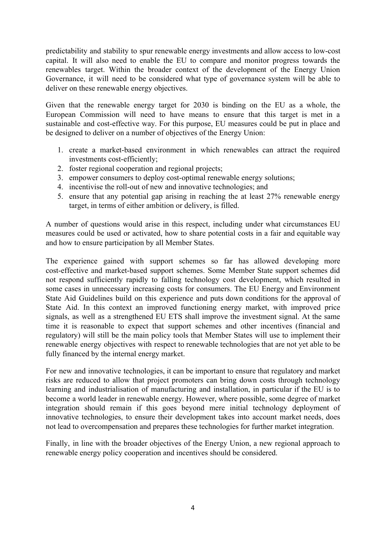predictability and stability to spur renewable energy investments and allow access to lowcost capital. It will also need to enable the EU to compare and monitor progress towards the renewables target. Within the broader context of the development of the Energy Union Governance, it will need to be considered what type of governance system will be able to deliver on these renewable energy objectives.

Given that the renewable energy target for 2030 is binding on the EU as a whole, the European Commission will need to have means to ensure that this target is met in a sustainable and cost-effective way. For this purpose, EU measures could be put in place and be designed to deliver on a number of objectives of the Energy Union:

- 1. create a market-based environment in which renewables can attract the required investments cost-efficiently;
- 2. foster regional cooperation and regional projects;
- 3. empower consumers to deploy cost-optimal renewable energy solutions;
- 4. incentivise the roll-out of new and innovative technologies; and
- 5. ensure that any potential gap arising in reaching the at least 27% renewable energy target, in terms of either ambition or delivery, is filled.

A number of questions would arise in this respect, including under what circumstances EU measures could be used or activated, how to share potential costs in a fair and equitable way and how to ensure participation by all Member States.

The experience gained with support schemes so far has allowed developing more cost-effective and market-based support schemes. Some Member State support schemes did not respond sufficiently rapidly to falling technology cost development, which resulted in some cases in unnecessary increasing costs for consumers. The EU Energy and Environment State Aid Guidelines build on this experience and puts down conditions for the approval of State Aid. In this context an improved functioning energy market, with improved price signals, as well as a strengthened EU ETS shall improve the investment signal. At the same time it is reasonable to expect that support schemes and other incentives (financial and regulatory) will still be the main policy tools that Member States will use to implement their renewable energy objectives with respect to renewable technologies that are not yet able to be fully financed by the internal energy market.

For new and innovative technologies, it can be important to ensure that regulatory and market risks are reduced to allow that project promoters can bring down costs through technology learning and industrialisation of manufacturing and installation, in particular if the EU is to become a world leader in renewable energy. However, where possible, some degree of market integration should remain if this goes beyond mere initial technology deployment of innovative technologies, to ensure their development takes into account market needs, does not lead to overcompensation and prepares these technologies for further market integration.

Finally, in line with the broader objectives of the Energy Union, a new regional approach to renewable energy policy cooperation and incentives should be considered.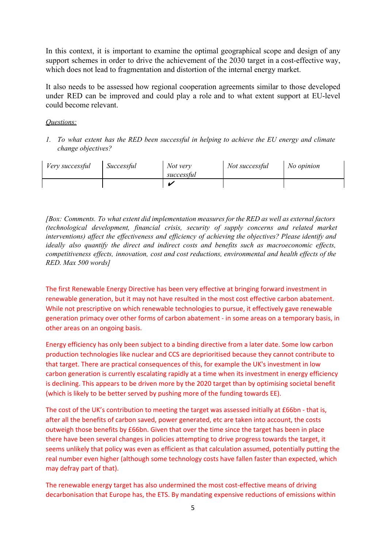In this context, it is important to examine the optimal geographical scope and design of any support schemes in order to drive the achievement of the 2030 target in a cost-effective way, which does not lead to fragmentation and distortion of the internal energy market.

It also needs to be assessed how regional cooperation agreements similar to those developed under RED can be improved and could play a role and to what extent support at EU-level could become relevant.

### *Questions:*

*1. To what extent has the RED been successful in helping to achieve the EU energy and climate change objectives?*

| Very successful | Successful | Not very<br>successful | Not successful | No opinion |
|-----------------|------------|------------------------|----------------|------------|
|                 |            |                        |                |            |

*[Box: Comments. To what extent did implementation measures for the RED as well as external factors (technological development, financial crisis, security of supply concerns and related market interventions) af ect the ef ectiveness and ef iciency of achieving the objectives? Please identify and ideally also quantify the direct and indirect costs and benefits such as macroeconomic ef ects, competitiveness ef ects, innovation, cost and cost reductions, environmental and health ef ects of the RED. Max 500 words]*

The first Renewable Energy Directive has been very effective at bringing forward investment in renewable generation, but it may not have resulted in the most cost effective carbon abatement. While not prescriptive on which renewable technologies to pursue, it effectively gave renewable generation primacy over other forms of carbon abatement ‐ in some areas on a temporary basis, in other areas on an ongoing basis.

Energy efficiency has only been subject to a binding directive from a later date. Some low carbon production technologies like nuclear and CCS are deprioritised because they cannot contribute to that target. There are practical consequences of this, for example the UK's investment in low carbon generation is currently escalating rapidly at a time when its investment in energy efficiency is declining. This appears to be driven more by the 2020 target than by optimising societal benefit (which is likely to be better served by pushing more of the funding towards EE).

The cost of the UK's contribution to meeting the target was assessed initially at £66bn - that is, after all the benefits of carbon saved, power generated, etc are taken into account, the costs outweigh those benefits by £66bn. Given that over the time since the target has been in place there have been several changes in policies attempting to drive progress towards the target, it seems unlikely that policy was even as efficient as that calculation assumed, potentially putting the real number even higher (although some technology costs have fallen faster than expected, which may defray part of that).

The renewable energy target has also undermined the most cost-effective means of driving decarbonisation that Europe has, the ETS. By mandating expensive reductions of emissions within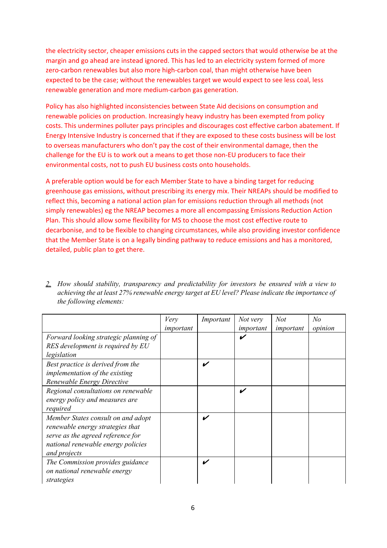the electricity sector, cheaper emissions cuts in the capped sectors that would otherwise be at the margin and go ahead are instead ignored. This has led to an electricity system formed of more zero-carbon renewables but also more high-carbon coal, than might otherwise have been expected to be the case; without the renewables target we would expect to see less coal, less renewable generation and more medium‐carbon gas generation.

Policy has also highlighted inconsistencies between State Aid decisions on consumption and renewable policies on production. Increasingly heavy industry has been exempted from policy costs. This undermines polluter pays principles and discourages cost effective carbon abatement. If Energy Intensive Industry is concerned that if they are exposed to these costs business will be lost to overseas manufacturers who don't pay the cost of their environmental damage, then the challenge for the EU is to work out a means to get those non‐EU producers to face their environmental costs, not to push EU business costs onto households.

A preferable option would be for each Member State to have a binding target for reducing greenhouse gas emissions, without prescribing its energy mix. Their NREAPs should be modified to reflect this, becoming a national action plan for emissions reduction through all methods (not simply renewables) eg the NREAP becomes a more all encompassing Emissions Reduction Action Plan. This should allow some flexibility for MS to choose the most cost effective route to decarbonise, and to be flexible to changing circumstances, while also providing investor confidence that the Member State is on a legally binding pathway to reduce emissions and has a monitored, detailed, public plan to get there.

|                                                                                                                                                                   | Very<br>important | Important | Not very<br>important | Not<br>important | No<br>opinion |
|-------------------------------------------------------------------------------------------------------------------------------------------------------------------|-------------------|-----------|-----------------------|------------------|---------------|
| Forward looking strategic planning of<br>RES development is required by EU<br>legislation                                                                         |                   |           |                       |                  |               |
| Best practice is derived from the<br>implementation of the existing<br>Renewable Energy Directive                                                                 |                   | V         |                       |                  |               |
| Regional consultations on renewable<br>energy policy and measures are<br>required                                                                                 |                   |           | V                     |                  |               |
| Member States consult on and adopt<br>renewable energy strategies that<br>serve as the agreed reference for<br>national renewable energy policies<br>and projects |                   | V         |                       |                  |               |
| The Commission provides guidance<br>on national renewable energy<br>strategies                                                                                    |                   | V         |                       |                  |               |

*2. How should stability, transparency and predictability for investors be ensured with a view to achieving the at least 27% renewable energy target at EU level? Please indicate the importance of the following elements:*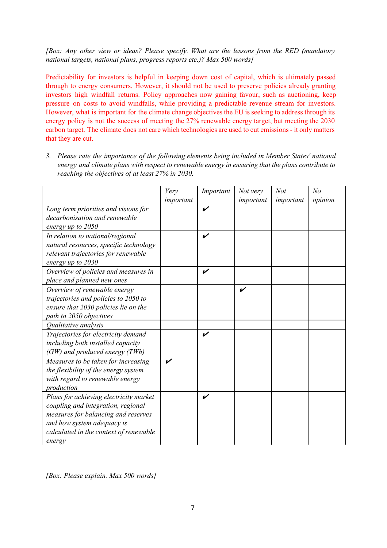*[Box: Any other view or ideas? Please specify. What are the lessons from the RED (mandatory national targets, national plans, progress reports etc.)? Max 500 words]*

Predictability for investors is helpful in keeping down cost of capital, which is ultimately passed through to energy consumers. However, it should not be used to preserve policies already granting investors high windfall returns. Policy approaches now gaining favour, such as auctioning, keep pressure on costs to avoid windfalls, while providing a predictable revenue stream for investors. However, what is important for the climate change objectives the EU is seeking to address through its energy policy is not the success of meeting the 27% renewable energy target, but meeting the 2030 carbon target. The climate does not care which technologies are used to cut emissions - it only matters that they are cut.

*3. Please rate the importance of the following elements being included in Member States' national energy and climate plans with respect to renewable energy in ensuring that the plans contribute to reaching the objectives of at least 27% in 2030.*

|                                                                                                                                                                                                       | Very<br>important | Important | Not very<br>important | Not<br>important | No<br>opinion |
|-------------------------------------------------------------------------------------------------------------------------------------------------------------------------------------------------------|-------------------|-----------|-----------------------|------------------|---------------|
| Long term priorities and visions for<br>decarbonisation and renewable<br>energy up to 2050                                                                                                            |                   | V         |                       |                  |               |
| In relation to national/regional<br>natural resources, specific technology<br>relevant trajectories for renewable<br>energy up to 2030                                                                |                   | V         |                       |                  |               |
| Overview of policies and measures in<br>place and planned new ones                                                                                                                                    |                   | V         |                       |                  |               |
| Overview of renewable energy<br>trajectories and policies to 2050 to<br>ensure that 2030 policies lie on the<br>path to 2050 objectives                                                               |                   |           | V                     |                  |               |
| Qualitative analysis                                                                                                                                                                                  |                   |           |                       |                  |               |
| Trajectories for electricity demand<br>including both installed capacity<br>(GW) and produced energy (TWh)                                                                                            |                   | V         |                       |                  |               |
| Measures to be taken for increasing<br>the flexibility of the energy system<br>with regard to renewable energy<br>production                                                                          | ✔                 |           |                       |                  |               |
| Plans for achieving electricity market<br>coupling and integration, regional<br>measures for balancing and reserves<br>and how system adequacy is<br>calculated in the context of renewable<br>energy |                   | V         |                       |                  |               |

*[Box: Please explain. Max 500 words]*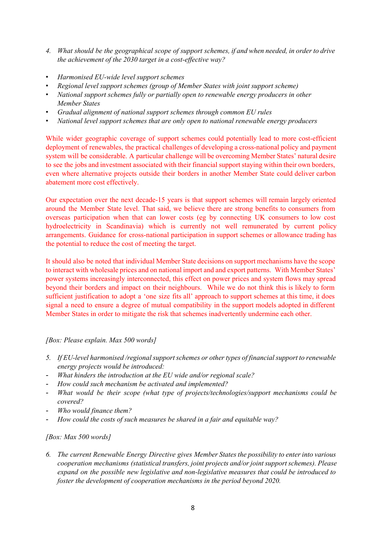- *4. What should be the geographical scope of support schemes, if and when needed, in order to drive the achievement of the 2030 target in a costef ective way?*
- *• Harmonised EUwide level support schemes*
- *• Regional level support schemes (group of Member States with joint support scheme)*
- *• National support schemes fully or partially open to renewable energy producers in other Member States*
- *• Gradual alignment of national support schemes through common EU rules*
- *• National level support schemes that are only open to national renewable energy producers*

While wider geographic coverage of support schemes could potentially lead to more cost-efficient deployment of renewables, the practical challenges of developing a cross-national policy and payment system will be considerable. A particular challenge will be overcoming Member States' natural desire to see the jobs and investment associated with their financial support staying within their own borders, even where alternative projects outside their borders in another Member State could deliver carbon abatement more cost effectively.

Our expectation over the next decade-15 years is that support schemes will remain largely oriented around the Member State level. That said, we believe there are strong benefits to consumers from overseas participation when that can lower costs (eg by connecting UK consumers to low cost hydroelectricity in Scandinavia) which is currently not well remunerated by current policy arrangements. Guidance for cross-national participation in support schemes or allowance trading has the potential to reduce the cost of meeting the target.

It should also be noted that individual Member State decisions on support mechanisms have the scope to interact with wholesale prices and on national import and and export patterns. With Member States' power systems increasingly interconnected, this effect on power prices and system flows may spread beyond their borders and impact on their neighbours. While we do not think this is likely to form sufficient justification to adopt a 'one size fits all' approach to support schemes at this time, it does signal a need to ensure a degree of mutual compatibility in the support models adopted in different Member States in order to mitigate the risk that schemes inadvertently undermine each other.

#### *[Box: Please explain. Max 500 words]*

- *5. If EUlevel harmonised /regional support schemes or other types of financial support to renewable energy projects would be introduced:*
- *What hinders the introduction at the EU wide and/or regional scale?*
- *How could such mechanism be activated and implemented?*
- *What would be their scope (what type of projects/technologies/support mechanisms could be covered?*
- *Who would finance them?*
- *How could the costs of such measures be shared in a fair and equitable way?*

*[Box: Max 500 words]*

*6. The current Renewable Energy Directive gives Member States the possibility to enter into various cooperation mechanisms (statistical transfers, joint projects and/or joint support schemes). Please expand on the possible new legislative and nonlegislative measures that could be introduced to foster the development of cooperation mechanisms in the period beyond 2020.*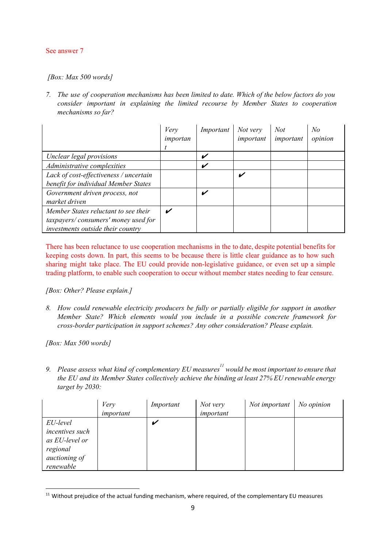#### See answer 7

#### *[Box: Max 500 words]*

*7. The use of cooperation mechanisms has been limited to date. Which of the below factors do you consider important in explaining the limited recourse by Member States to cooperation mechanisms so far?*

|                                                                                                                  | Very<br>importan | Important | Not very<br>important | <b>Not</b><br>important | No<br>opinion |
|------------------------------------------------------------------------------------------------------------------|------------------|-----------|-----------------------|-------------------------|---------------|
| Unclear legal provisions                                                                                         |                  | V         |                       |                         |               |
| Administrative complexities                                                                                      |                  | V         |                       |                         |               |
| Lack of cost-effectiveness / uncertain<br>benefit for individual Member States                                   |                  |           | v                     |                         |               |
| Government driven process, not<br>market driven                                                                  |                  | V         |                       |                         |               |
| Member States reluctant to see their<br>taxpayers/consumers' money used for<br>investments outside their country |                  |           |                       |                         |               |

There has been reluctance to use cooperation mechanisms in the to date, despite potential benefits for keeping costs down. In part, this seems to be because there is little clear guidance as to how such sharing might take place. The EU could provide non-legislative guidance, or even set up a simple trading platform, to enable such cooperation to occur without member states needing to fear censure.

#### *[Box: Other? Please explain.]*

*8. How could renewable electricity producers be fully or partially eligible for support in another Member State? Which elements would you include in a possible concrete framework for crossborder participation in support schemes? Any other consideration? Please explain.*

*[Box: Max 500 words]*

*9. Please assess what kind of complementary EU measures would be most important to ensure that 11 the EU and its Member States collectively achieve the binding at least 27% EU renewable energy target by 2030:*

|                 | Very      | Important | Not very  | Not important | No opinion |
|-----------------|-----------|-----------|-----------|---------------|------------|
|                 | important |           | important |               |            |
| EU-level        |           |           |           |               |            |
| incentives such |           |           |           |               |            |
| as EU-level or  |           |           |           |               |            |
| regional        |           |           |           |               |            |
| auctioning of   |           |           |           |               |            |
| renewable       |           |           |           |               |            |

<sup>&</sup>lt;sup>11</sup> Without prejudice of the actual funding mechanism, where required, of the complementary EU measures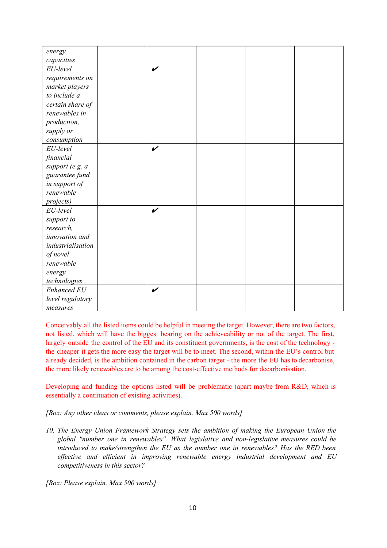| energy             |                    |  |  |
|--------------------|--------------------|--|--|
| capacities         |                    |  |  |
| EU-level           | V                  |  |  |
| requirements on    |                    |  |  |
| market players     |                    |  |  |
| to include a       |                    |  |  |
| certain share of   |                    |  |  |
| renewables in      |                    |  |  |
| production,        |                    |  |  |
| supply or          |                    |  |  |
| consumption        |                    |  |  |
| EU-level           | $\boldsymbol{\nu}$ |  |  |
| financial          |                    |  |  |
| support (e.g. a    |                    |  |  |
| guarantee fund     |                    |  |  |
| in support of      |                    |  |  |
| renewable          |                    |  |  |
| projects)          |                    |  |  |
| EU-level           | V                  |  |  |
| support to         |                    |  |  |
| research,          |                    |  |  |
| innovation and     |                    |  |  |
| industrialisation  |                    |  |  |
| of novel           |                    |  |  |
| renewable          |                    |  |  |
| energy             |                    |  |  |
| technologies       |                    |  |  |
| <b>Enhanced EU</b> | V                  |  |  |
| level regulatory   |                    |  |  |
| measures           |                    |  |  |

Conceivably all the listed items could be helpful in meeting the target. However, there are two factors, not listed, which will have the biggest bearing on the achieveability or not of the target. The first, largely outside the control of the EU and its constituent governments, is the cost of the technology the cheaper it gets the more easy the target will be to meet. The second, within the EU's control but already decided, is the ambition contained in the carbon target the more the EU has to decarbonise, the more likely renewables are to be among the cost-effective methods for decarbonisation.

Developing and funding the options listed will be problematic (apart maybe from R&D, which is essentially a continuation of existing activities).

*[Box: Any other ideas or comments, please explain. Max 500 words]*

*10. The Energy Union Framework Strategy sets the ambition of making the European Union the global "number one in renewables". What legislative and nonlegislative measures could be introduced to make/strengthen the EU as the number one in renewables? Has the RED been ef ective and ef icient in improving renewable energy industrial development and EU competitiveness in this sector?*

*[Box: Please explain. Max 500 words]*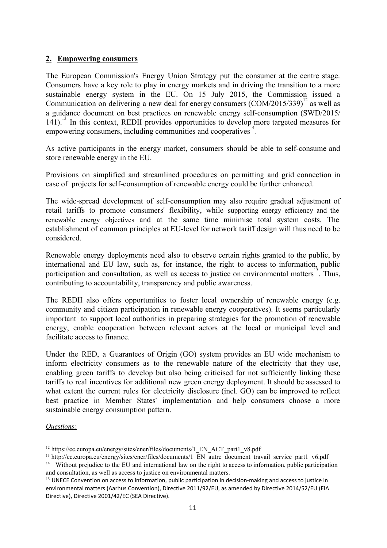## **2. Empowering consumers**

The European Commission's Energy Union Strategy put the consumer at the centre stage. Consumers have a key role to play in energy markets and in driving the transition to a more sustainable energy system in the EU. On 15 July 2015, the Commission issued a Communication on delivering a new deal for energy consumers  $(COM/2015/339)^{12}$  as well as a guidance document on best practices on renewable energy self-consumption  $(SWD/2015/$  $141$ ).<sup>13</sup> In this context, REDII provides opportunities to develop more targeted measures for empowering consumers, including communities and cooperatives<sup>14</sup>.

As active participants in the energy market, consumers should be able to self-consume and store renewable energy in the EU.

Provisions on simplified and streamlined procedures on permitting and grid connection in case of projects for self-consumption of renewable energy could be further enhanced.

The wide-spread development of self-consumption may also require gradual adjustment of retail tariffs to promote consumers' flexibility, while supporting energy efficiency and the renewable energy objectives and at the same time minimise total system costs. The establishment of common principles at EU-level for network tariff design will thus need to be considered.

Renewable energy deployments need also to observe certain rights granted to the public, by international and EU law, such as, for instance, the right to access to information, public participation and consultation, as well as access to justice on environmental matters<sup>15</sup>. Thus, contributing to accountability, transparency and public awareness.

The REDII also offers opportunities to foster local ownership of renewable energy (e.g. community and citizen participation in renewable energy cooperatives). It seems particularly important to support local authorities in preparing strategies for the promotion of renewable energy, enable cooperation between relevant actors at the local or municipal level and facilitate access to finance.

Under the RED, a Guarantees of Origin (GO) system provides an EU wide mechanism to inform electricity consumers as to the renewable nature of the electricity that they use, enabling green tariffs to develop but also being criticised for not sufficiently linking these tariffs to real incentives for additional new green energy deployment. It should be assessed to what extent the current rules for electricity disclosure (incl. GO) can be improved to reflect best practice in Member States' implementation and help consumers choose a more sustainable energy consumption pattern.

#### *Questions:*

<sup>&</sup>lt;sup>12</sup> https://ec.europa.eu/energy/sites/ener/files/documents/1\_EN\_ACT\_part1\_v8.pdf

 $13$  http://ec.europa.eu/energy/sites/ener/files/documents/1 EN autre document travail service part1 v6.pdf

<sup>&</sup>lt;sup>14</sup> Without prejudice to the EU and international law on the right to access to information, public participation and consultation, as well as access to justice on environmental matters.

<sup>&</sup>lt;sup>15</sup> UNECE Convention on access to information, public participation in decision-making and access to justice in environmental matters (Aarhus Convention), Directive 2011/92/EU, as amended by Directive 2014/52/EU (EIA Directive), Directive 2001/42/EC (SEA Directive).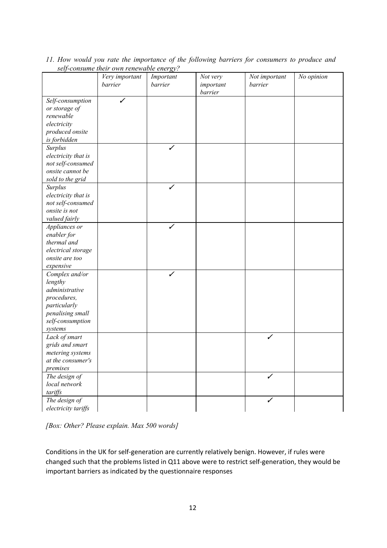| No opinion<br>Very important<br>Not very<br>Not important<br>Important<br>barrier<br>barrier<br>important<br>barrier<br>barrier<br>Self-consumption<br>or storage of<br>renewable<br>electricity<br>produced onsite<br>is forbidden<br>Surplus<br>✓<br>electricity that is<br>not self-consumed<br>onsite cannot be<br>sold to the grid<br>✓<br>Surplus<br>electricity that is<br>not self-consumed<br>onsite is not<br>valued fairly<br>Appliances or<br>enabler for<br>thermal and<br>electrical storage<br>onsite are too<br>expensive<br>Complex and/or<br>✓<br>lengthy<br>administrative<br>procedures,<br>particularly<br>penalising small<br>self-consumption<br>systems<br>Lack of smart<br>✓<br>grids and smart<br>metering systems<br>at the consumer's<br>premises<br>The design of<br>✓<br>local network<br>tariffs<br>The design of<br>✓ | ぃーい                 | $\alpha$ |  |  |
|-------------------------------------------------------------------------------------------------------------------------------------------------------------------------------------------------------------------------------------------------------------------------------------------------------------------------------------------------------------------------------------------------------------------------------------------------------------------------------------------------------------------------------------------------------------------------------------------------------------------------------------------------------------------------------------------------------------------------------------------------------------------------------------------------------------------------------------------------------|---------------------|----------|--|--|
|                                                                                                                                                                                                                                                                                                                                                                                                                                                                                                                                                                                                                                                                                                                                                                                                                                                       |                     |          |  |  |
|                                                                                                                                                                                                                                                                                                                                                                                                                                                                                                                                                                                                                                                                                                                                                                                                                                                       |                     |          |  |  |
|                                                                                                                                                                                                                                                                                                                                                                                                                                                                                                                                                                                                                                                                                                                                                                                                                                                       |                     |          |  |  |
|                                                                                                                                                                                                                                                                                                                                                                                                                                                                                                                                                                                                                                                                                                                                                                                                                                                       |                     |          |  |  |
|                                                                                                                                                                                                                                                                                                                                                                                                                                                                                                                                                                                                                                                                                                                                                                                                                                                       |                     |          |  |  |
|                                                                                                                                                                                                                                                                                                                                                                                                                                                                                                                                                                                                                                                                                                                                                                                                                                                       |                     |          |  |  |
|                                                                                                                                                                                                                                                                                                                                                                                                                                                                                                                                                                                                                                                                                                                                                                                                                                                       |                     |          |  |  |
|                                                                                                                                                                                                                                                                                                                                                                                                                                                                                                                                                                                                                                                                                                                                                                                                                                                       |                     |          |  |  |
|                                                                                                                                                                                                                                                                                                                                                                                                                                                                                                                                                                                                                                                                                                                                                                                                                                                       |                     |          |  |  |
|                                                                                                                                                                                                                                                                                                                                                                                                                                                                                                                                                                                                                                                                                                                                                                                                                                                       |                     |          |  |  |
|                                                                                                                                                                                                                                                                                                                                                                                                                                                                                                                                                                                                                                                                                                                                                                                                                                                       |                     |          |  |  |
|                                                                                                                                                                                                                                                                                                                                                                                                                                                                                                                                                                                                                                                                                                                                                                                                                                                       |                     |          |  |  |
|                                                                                                                                                                                                                                                                                                                                                                                                                                                                                                                                                                                                                                                                                                                                                                                                                                                       |                     |          |  |  |
|                                                                                                                                                                                                                                                                                                                                                                                                                                                                                                                                                                                                                                                                                                                                                                                                                                                       |                     |          |  |  |
|                                                                                                                                                                                                                                                                                                                                                                                                                                                                                                                                                                                                                                                                                                                                                                                                                                                       |                     |          |  |  |
|                                                                                                                                                                                                                                                                                                                                                                                                                                                                                                                                                                                                                                                                                                                                                                                                                                                       |                     |          |  |  |
|                                                                                                                                                                                                                                                                                                                                                                                                                                                                                                                                                                                                                                                                                                                                                                                                                                                       |                     |          |  |  |
|                                                                                                                                                                                                                                                                                                                                                                                                                                                                                                                                                                                                                                                                                                                                                                                                                                                       |                     |          |  |  |
|                                                                                                                                                                                                                                                                                                                                                                                                                                                                                                                                                                                                                                                                                                                                                                                                                                                       |                     |          |  |  |
|                                                                                                                                                                                                                                                                                                                                                                                                                                                                                                                                                                                                                                                                                                                                                                                                                                                       |                     |          |  |  |
|                                                                                                                                                                                                                                                                                                                                                                                                                                                                                                                                                                                                                                                                                                                                                                                                                                                       |                     |          |  |  |
|                                                                                                                                                                                                                                                                                                                                                                                                                                                                                                                                                                                                                                                                                                                                                                                                                                                       |                     |          |  |  |
|                                                                                                                                                                                                                                                                                                                                                                                                                                                                                                                                                                                                                                                                                                                                                                                                                                                       |                     |          |  |  |
|                                                                                                                                                                                                                                                                                                                                                                                                                                                                                                                                                                                                                                                                                                                                                                                                                                                       |                     |          |  |  |
|                                                                                                                                                                                                                                                                                                                                                                                                                                                                                                                                                                                                                                                                                                                                                                                                                                                       |                     |          |  |  |
|                                                                                                                                                                                                                                                                                                                                                                                                                                                                                                                                                                                                                                                                                                                                                                                                                                                       |                     |          |  |  |
|                                                                                                                                                                                                                                                                                                                                                                                                                                                                                                                                                                                                                                                                                                                                                                                                                                                       |                     |          |  |  |
|                                                                                                                                                                                                                                                                                                                                                                                                                                                                                                                                                                                                                                                                                                                                                                                                                                                       |                     |          |  |  |
|                                                                                                                                                                                                                                                                                                                                                                                                                                                                                                                                                                                                                                                                                                                                                                                                                                                       |                     |          |  |  |
|                                                                                                                                                                                                                                                                                                                                                                                                                                                                                                                                                                                                                                                                                                                                                                                                                                                       |                     |          |  |  |
|                                                                                                                                                                                                                                                                                                                                                                                                                                                                                                                                                                                                                                                                                                                                                                                                                                                       |                     |          |  |  |
|                                                                                                                                                                                                                                                                                                                                                                                                                                                                                                                                                                                                                                                                                                                                                                                                                                                       |                     |          |  |  |
|                                                                                                                                                                                                                                                                                                                                                                                                                                                                                                                                                                                                                                                                                                                                                                                                                                                       |                     |          |  |  |
|                                                                                                                                                                                                                                                                                                                                                                                                                                                                                                                                                                                                                                                                                                                                                                                                                                                       |                     |          |  |  |
|                                                                                                                                                                                                                                                                                                                                                                                                                                                                                                                                                                                                                                                                                                                                                                                                                                                       |                     |          |  |  |
|                                                                                                                                                                                                                                                                                                                                                                                                                                                                                                                                                                                                                                                                                                                                                                                                                                                       |                     |          |  |  |
|                                                                                                                                                                                                                                                                                                                                                                                                                                                                                                                                                                                                                                                                                                                                                                                                                                                       |                     |          |  |  |
|                                                                                                                                                                                                                                                                                                                                                                                                                                                                                                                                                                                                                                                                                                                                                                                                                                                       |                     |          |  |  |
|                                                                                                                                                                                                                                                                                                                                                                                                                                                                                                                                                                                                                                                                                                                                                                                                                                                       |                     |          |  |  |
|                                                                                                                                                                                                                                                                                                                                                                                                                                                                                                                                                                                                                                                                                                                                                                                                                                                       |                     |          |  |  |
|                                                                                                                                                                                                                                                                                                                                                                                                                                                                                                                                                                                                                                                                                                                                                                                                                                                       |                     |          |  |  |
|                                                                                                                                                                                                                                                                                                                                                                                                                                                                                                                                                                                                                                                                                                                                                                                                                                                       |                     |          |  |  |
|                                                                                                                                                                                                                                                                                                                                                                                                                                                                                                                                                                                                                                                                                                                                                                                                                                                       |                     |          |  |  |
|                                                                                                                                                                                                                                                                                                                                                                                                                                                                                                                                                                                                                                                                                                                                                                                                                                                       |                     |          |  |  |
|                                                                                                                                                                                                                                                                                                                                                                                                                                                                                                                                                                                                                                                                                                                                                                                                                                                       |                     |          |  |  |
|                                                                                                                                                                                                                                                                                                                                                                                                                                                                                                                                                                                                                                                                                                                                                                                                                                                       | electricity tariffs |          |  |  |

*11. How would you rate the importance of the following barriers for consumers to produce and selfconsume their own renewable energy?*

*[Box: Other? Please explain. Max 500 words]*

Conditions in the UK for self‐generation are currently relatively benign. However, if rules were changed such that the problems listed in Q11 above were to restrict self‐generation, they would be important barriers as indicated by the questionnaire responses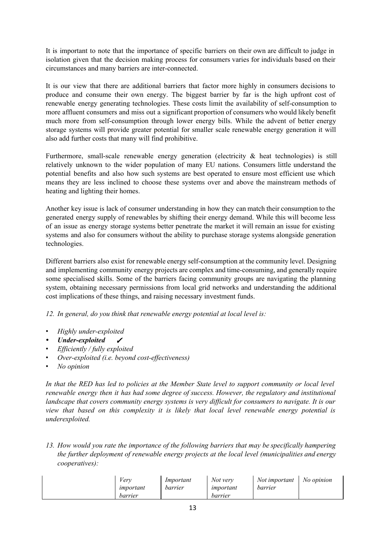It is important to note that the importance of specific barriers on their own are difficult to judge in isolation given that the decision making process for consumers varies for individuals based on their circumstances and many barriers are inter-connected.

It is our view that there are additional barriers that factor more highly in consumers decisions to produce and consume their own energy. The biggest barrier by far is the high upfront cost of renewable energy generating technologies. These costs limit the availability of self-consumption to more affluent consumers and miss out a significant proportion of consumers who would likely benefit much more from self-consumption through lower energy bills. While the advent of better energy storage systems will provide greater potential for smaller scale renewable energy generation it will also add further costs that many will find prohibitive.

Furthermore, small-scale renewable energy generation (electricity  $\&$  heat technologies) is still relatively unknown to the wider population of many EU nations. Consumers little understand the potential benefits and also how such systems are best operated to ensure most efficient use which means they are less inclined to choose these systems over and above the mainstream methods of heating and lighting their homes.

Another key issue is lack of consumer understanding in how they can match their consumption to the generated energy supply of renewables by shifting their energy demand. While this will become less of an issue as energy storage systems better penetrate the market it will remain an issue for existing systems and also for consumers without the ability to purchase storage systems alongside generation technologies.

Different barriers also exist for renewable energy self-consumption at the community level. Designing and implementing community energy projects are complex and time-consuming, and generally require some specialised skills. Some of the barriers facing community groups are navigating the planning system, obtaining necessary permissions from local grid networks and understanding the additional cost implications of these things, and raising necessary investment funds.

*12. In general, do you think that renewable energy potential at local level is:*

- Highly *under-exploited*
- *Under-exploited* ✔
- *• Ef iciently / fully exploited*
- *<i>Over-exploited* (*i.e. beyond cost-effectiveness*)
- *• No opinion*

In that the RED has led to policies at the Member State level to support community or local level *renewable energy then it has had some degree of success. However, the regulatory and institutional landscape that covers community energy systems is very dif icult for consumers to navigate. It is our view that based on this complexity it is likely that local level renewable energy potential is underexploited.*

*13. How would you rate the importance of the following barriers that may be specifically hampering the further deployment of renewable energy projects at the local level (municipalities and energy cooperatives):*

| /erv<br>important<br>barrier | Important<br>barrier | Not very<br>important<br>barrier | Not important<br>barrier | No opinion |
|------------------------------|----------------------|----------------------------------|--------------------------|------------|
|------------------------------|----------------------|----------------------------------|--------------------------|------------|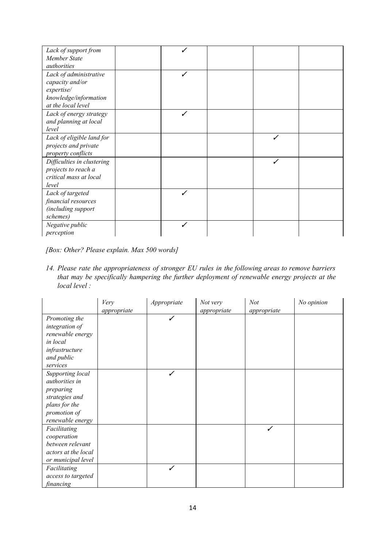| Lack of support from<br>Member State<br>authorities                                                    |   |  |  |
|--------------------------------------------------------------------------------------------------------|---|--|--|
| Lack of administrative<br>capacity and/or<br>expertise/<br>knowledge/information<br>at the local level | ✓ |  |  |
| Lack of energy strategy<br>and planning at local<br>level                                              |   |  |  |
| Lack of eligible land for<br>projects and private<br>property conflicts                                |   |  |  |
| Difficulties in clustering<br>projects to reach a<br>critical mass at local<br>level                   |   |  |  |
| Lack of targeted<br>financial resources<br>(including support<br>schemes)                              |   |  |  |
| Negative public<br>perception                                                                          |   |  |  |

*[Box: Other? Please explain. Max 500 words]*

*14. Please rate the appropriateness of stronger EU rules in the following areas to remove barriers that may be specifically hampering the further deployment of renewable energy projects at the local level :*

|                                                                                                                        | Very<br>appropriate | Appropriate | Not very<br>appropriate | Not<br>appropriate | No opinion |
|------------------------------------------------------------------------------------------------------------------------|---------------------|-------------|-------------------------|--------------------|------------|
| Promoting the<br>integration of<br>renewable energy<br>in local<br>infrastructure<br>and public<br>services            |                     | ✓           |                         |                    |            |
| Supporting local<br>authorities in<br>preparing<br>strategies and<br>plans for the<br>promotion of<br>renewable energy |                     | ✓           |                         |                    |            |
| Facilitating<br>cooperation<br>between relevant<br>actors at the local<br>or municipal level                           |                     |             |                         | ✓                  |            |
| Facilitating<br>access to targeted<br>financing                                                                        |                     | ✓           |                         |                    |            |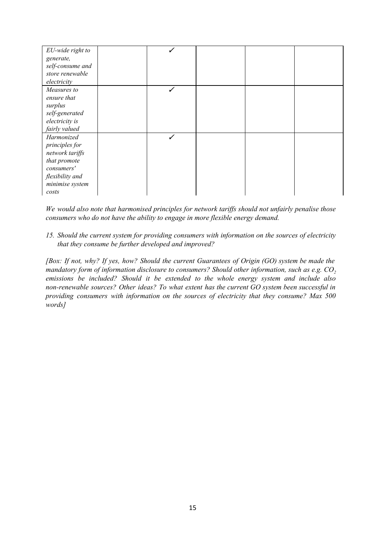| EU-wide right to |  |  |  |
|------------------|--|--|--|
| generate,        |  |  |  |
| self-consume and |  |  |  |
| store renewable  |  |  |  |
| electricity      |  |  |  |
| Measures to      |  |  |  |
| ensure that      |  |  |  |
| surplus          |  |  |  |
| self-generated   |  |  |  |
| electricity is   |  |  |  |
| fairly valued    |  |  |  |
| Harmonized       |  |  |  |
| principles for   |  |  |  |
| network tariffs  |  |  |  |
| that promote     |  |  |  |
| consumers'       |  |  |  |
| flexibility and  |  |  |  |
| minimise system  |  |  |  |
| costs            |  |  |  |

*We would also note that harmonised principles for network tarif s should not unfairly penalise those consumers who do not have the ability to engage in more flexible energy demand.*

*15. Should the current system for providing consumers with information on the sources of electricity that they consume be further developed and improved?*

*[Box: If not, why? If yes, how? Should the current Guarantees of Origin (GO) system be made the mandatory form of information disclosure to consumers? Should other information, such as e.g. CO<sup>2</sup> emissions be included? Should it be extended to the whole energy system and include also nonrenewable sources? Other ideas? To what extent has the current GO system been successful in providing consumers with information on the sources of electricity that they consume? Max 500 words]*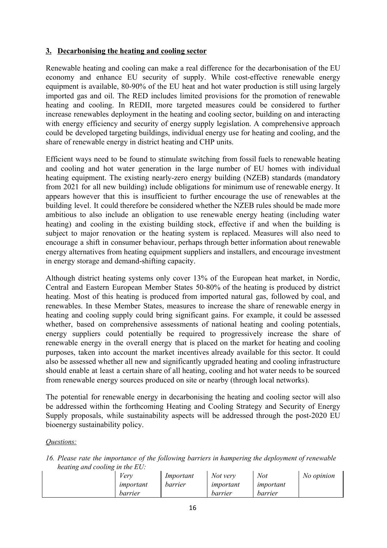## **3. Decarbonising the heating and cooling sector**

Renewable heating and cooling can make a real difference for the decarbonisation of the EU economy and enhance EU security of supply. While cost-effective renewable energy equipment is available,  $80-90\%$  of the EU heat and hot water production is still using largely imported gas and oil. The RED includes limited provisions for the promotion of renewable heating and cooling. In REDII, more targeted measures could be considered to further increase renewables deployment in the heating and cooling sector, building on and interacting with energy efficiency and security of energy supply legislation. A comprehensive approach could be developed targeting buildings, individual energy use for heating and cooling, and the share of renewable energy in district heating and CHP units.

Efficient ways need to be found to stimulate switching from fossil fuels to renewable heating and cooling and hot water generation in the large number of EU homes with individual heating equipment. The existing nearly-zero energy building (NZEB) standards (mandatory from 2021 for all new building) include obligations for minimum use of renewable energy. It appears however that this is insufficient to further encourage the use of renewables at the building level. It could therefore be considered whether the NZEB rules should be made more ambitious to also include an obligation to use renewable energy heating (including water heating) and cooling in the existing building stock, effective if and when the building is subject to major renovation or the heating system is replaced. Measures will also need to encourage a shift in consumer behaviour, perhaps through better information about renewable energy alternatives from heating equipment suppliers and installers, and encourage investment in energy storage and demand-shifting capacity.

Although district heating systems only cover 13% of the European heat market, in Nordic, Central and Eastern European Member States 50-80% of the heating is produced by district heating. Most of this heating is produced from imported natural gas, followed by coal, and renewables. In these Member States, measures to increase the share of renewable energy in heating and cooling supply could bring significant gains. For example, it could be assessed whether, based on comprehensive assessments of national heating and cooling potentials, energy suppliers could potentially be required to progressively increase the share of renewable energy in the overall energy that is placed on the market for heating and cooling purposes, taken into account the market incentives already available for this sector. It could also be assessed whether all new and significantly upgraded heating and cooling infrastructure should enable at least a certain share of all heating, cooling and hot water needs to be sourced from renewable energy sources produced on site or nearby (through local networks).

The potential for renewable energy in decarbonising the heating and cooling sector will also be addressed within the forthcoming Heating and Cooling Strategy and Security of Energy Supply proposals, while sustainability aspects will be addressed through the post-2020 EU bioenergy sustainability policy.

#### *Questions:*

*16. Please rate the importance of the following barriers in hampering the deployment of renewable heating and cooling in the EU:*

| ີ<br>ີ | ′eri      | Important | Not very  | Not       | No opinion |
|--------|-----------|-----------|-----------|-----------|------------|
|        | important | barrier   | important | important |            |
|        | barrier   |           | barrier   | barrier   |            |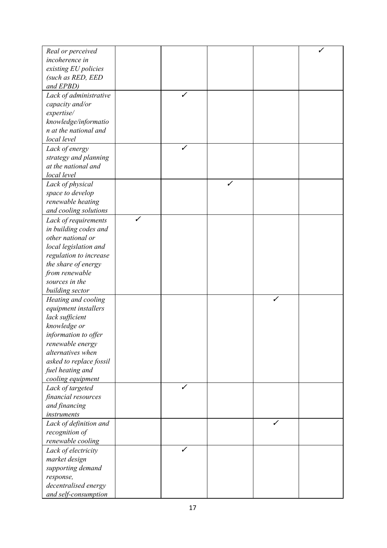| Real or perceived                             |              |   |              |   |  |
|-----------------------------------------------|--------------|---|--------------|---|--|
|                                               |              |   |              |   |  |
| incoherence in                                |              |   |              |   |  |
| existing EU policies                          |              |   |              |   |  |
| (such as RED, EED                             |              |   |              |   |  |
| and EPBD)                                     |              |   |              |   |  |
| Lack of administrative                        |              | ✓ |              |   |  |
| capacity and/or                               |              |   |              |   |  |
| expertise/                                    |              |   |              |   |  |
| knowledge/informatio                          |              |   |              |   |  |
| n at the national and                         |              |   |              |   |  |
| local level                                   |              |   |              |   |  |
| Lack of energy                                |              | ✓ |              |   |  |
| strategy and planning                         |              |   |              |   |  |
| at the national and                           |              |   |              |   |  |
| local level                                   |              |   |              |   |  |
| Lack of physical                              |              |   | $\checkmark$ |   |  |
| space to develop                              |              |   |              |   |  |
| renewable heating                             |              |   |              |   |  |
| and cooling solutions                         |              |   |              |   |  |
|                                               | $\checkmark$ |   |              |   |  |
| Lack of requirements<br>in building codes and |              |   |              |   |  |
|                                               |              |   |              |   |  |
| other national or                             |              |   |              |   |  |
| local legislation and                         |              |   |              |   |  |
| regulation to increase                        |              |   |              |   |  |
| the share of energy                           |              |   |              |   |  |
| from renewable                                |              |   |              |   |  |
| sources in the                                |              |   |              |   |  |
| building sector                               |              |   |              |   |  |
| Heating and cooling                           |              |   |              | ✓ |  |
| equipment installers                          |              |   |              |   |  |
| lack sufficient                               |              |   |              |   |  |
| knowledge or                                  |              |   |              |   |  |
| information to offer                          |              |   |              |   |  |
| renewable energy                              |              |   |              |   |  |
| alternatives when                             |              |   |              |   |  |
| asked to replace fossil                       |              |   |              |   |  |
| fuel heating and                              |              |   |              |   |  |
| cooling equipment                             |              |   |              |   |  |
| Lack of targeted                              |              | ✓ |              |   |  |
| financial resources                           |              |   |              |   |  |
| and financing                                 |              |   |              |   |  |
| instruments                                   |              |   |              |   |  |
| Lack of definition and                        |              |   |              | ✓ |  |
| recognition of                                |              |   |              |   |  |
| renewable cooling                             |              |   |              |   |  |
| Lack of electricity                           |              | ✓ |              |   |  |
| market design                                 |              |   |              |   |  |
| supporting demand                             |              |   |              |   |  |
|                                               |              |   |              |   |  |
| response,<br>decentralised energy             |              |   |              |   |  |
|                                               |              |   |              |   |  |
| and self-consumption                          |              |   |              |   |  |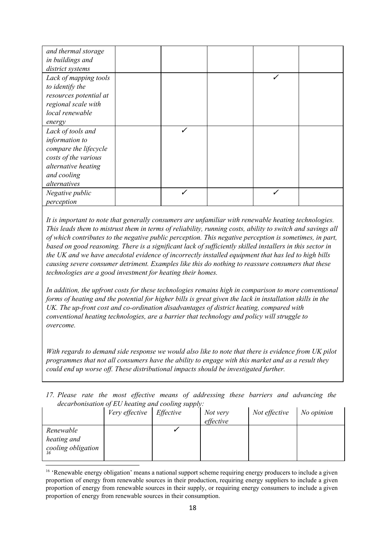| and thermal storage    |  |   |  |
|------------------------|--|---|--|
| in buildings and       |  |   |  |
| district systems       |  |   |  |
| Lack of mapping tools  |  | ✓ |  |
| to identify the        |  |   |  |
| resources potential at |  |   |  |
| regional scale with    |  |   |  |
| local renewable        |  |   |  |
| energy                 |  |   |  |
| Lack of tools and      |  |   |  |
| information to         |  |   |  |
| compare the lifecycle  |  |   |  |
| costs of the various   |  |   |  |
| alternative heating    |  |   |  |
| and cooling            |  |   |  |
| alternatives           |  |   |  |
| Negative public        |  |   |  |
| perception             |  |   |  |

*It is important to note that generally consumers are unfamiliar with renewable heating technologies.* This leads them to mistrust them in terms of reliability, running costs, ability to switch and savings all *of which contributes to the negative public perception. This negative perception is sometimes, in part,* based on good reasoning. There is a significant lack of sufficiently skilled installers in this sector in *the UK and we have anecdotal evidence of incorrectly installed equipment that has led to high bills causing severe consumer detriment. Examples like this do nothing to reassure consumers that these technologies are a good investment for heating their homes.*

*In addition, the upfront costs for these technologies remains high in comparison to more conventional* forms of heating and the potential for higher bills is great given the lack in installation skills in the *UK. The up-front cost and co-ordination disadvantages of district heating, compared with conventional heating technologies, are a barrier that technology and policy will struggle to overcome.*

With regards to demand side response we would also like to note that there is evidence from UK pilot *programmes that not all consumers have the ability to engage with this market and as a result they could end up worse of . These distributional impacts should be investigated further.*

*17. Please rate the most ef ective means of addressing these barriers and advancing the decarbonisation of EU heating and cooling supply:*

| $\alpha$ . The companion $\beta$ is the contract $\beta$ in $\beta$ is the property. |                |           |                       |               |            |  |
|--------------------------------------------------------------------------------------|----------------|-----------|-----------------------|---------------|------------|--|
|                                                                                      | Very effective | Effective | Not very<br>effective | Not effective | No opinion |  |
| Renewable<br>heating and<br>cooling obligation                                       |                |           |                       |               |            |  |

<sup>&</sup>lt;sup>16</sup> 'Renewable energy obligation' means a national support scheme requiring energy producers to include a given proportion of energy from renewable sources in their production, requiring energy suppliers to include a given proportion of energy from renewable sources in their supply, or requiring energy consumers to include a given proportion of energy from renewable sources in their consumption.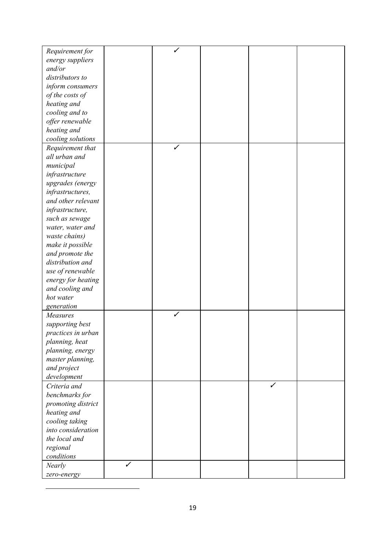| Requirement for    |   |   |  |  |
|--------------------|---|---|--|--|
| energy suppliers   |   |   |  |  |
| and/or             |   |   |  |  |
| distributors to    |   |   |  |  |
|                    |   |   |  |  |
| inform consumers   |   |   |  |  |
| of the costs of    |   |   |  |  |
| heating and        |   |   |  |  |
| cooling and to     |   |   |  |  |
| offer renewable    |   |   |  |  |
| heating and        |   |   |  |  |
| cooling solutions  |   |   |  |  |
| Requirement that   |   | ✓ |  |  |
| all urban and      |   |   |  |  |
| municipal          |   |   |  |  |
| infrastructure     |   |   |  |  |
| upgrades (energy   |   |   |  |  |
| infrastructures,   |   |   |  |  |
| and other relevant |   |   |  |  |
| infrastructure,    |   |   |  |  |
| such as sewage     |   |   |  |  |
| water, water and   |   |   |  |  |
| waste chains)      |   |   |  |  |
| make it possible   |   |   |  |  |
| and promote the    |   |   |  |  |
| distribution and   |   |   |  |  |
| use of renewable   |   |   |  |  |
| energy for heating |   |   |  |  |
| and cooling and    |   |   |  |  |
| hot water          |   |   |  |  |
| generation         |   |   |  |  |
| Measures           |   | ✓ |  |  |
| supporting best    |   |   |  |  |
| practices in urban |   |   |  |  |
| planning, heat     |   |   |  |  |
| planning, energy   |   |   |  |  |
| master planning,   |   |   |  |  |
| and project        |   |   |  |  |
| development        |   |   |  |  |
| Criteria and       |   |   |  |  |
| benchmarks for     |   |   |  |  |
| promoting district |   |   |  |  |
| heating and        |   |   |  |  |
| cooling taking     |   |   |  |  |
| into consideration |   |   |  |  |
| the local and      |   |   |  |  |
| regional           |   |   |  |  |
| conditions         |   |   |  |  |
| <b>Nearly</b>      | ✓ |   |  |  |
|                    |   |   |  |  |
| zero-energy        |   |   |  |  |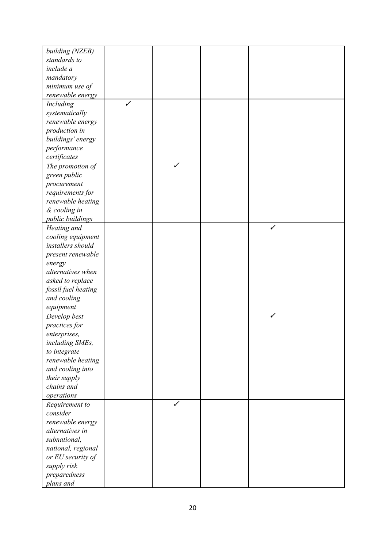| building (NZEB)           |              |   |   |  |
|---------------------------|--------------|---|---|--|
| standards to              |              |   |   |  |
| include a                 |              |   |   |  |
| mandatory                 |              |   |   |  |
| minimum use of            |              |   |   |  |
| renewable energy          |              |   |   |  |
| Including                 | $\checkmark$ |   |   |  |
| systematically            |              |   |   |  |
| renewable energy          |              |   |   |  |
| production in             |              |   |   |  |
| buildings' energy         |              |   |   |  |
| performance               |              |   |   |  |
| certificates              |              |   |   |  |
| The promotion of          |              | ✓ |   |  |
| green public              |              |   |   |  |
| procurement               |              |   |   |  |
| requirements for          |              |   |   |  |
| renewable heating         |              |   |   |  |
| & cooling in              |              |   |   |  |
| public buildings          |              |   |   |  |
| Heating and               |              |   | ✓ |  |
| cooling equipment         |              |   |   |  |
| installers should         |              |   |   |  |
| present renewable         |              |   |   |  |
| energy                    |              |   |   |  |
| alternatives when         |              |   |   |  |
| asked to replace          |              |   |   |  |
| fossil fuel heating       |              |   |   |  |
| and cooling               |              |   |   |  |
| equipment                 |              |   |   |  |
| Develop best              |              |   |   |  |
| practices for             |              |   |   |  |
| enterprises,              |              |   |   |  |
| including SMEs,           |              |   |   |  |
| to integrate              |              |   |   |  |
| renewable heating         |              |   |   |  |
| and cooling into          |              |   |   |  |
| their supply              |              |   |   |  |
| chains and                |              |   |   |  |
| operations                |              |   |   |  |
| Requirement to            |              | ✓ |   |  |
| consider                  |              |   |   |  |
| renewable energy          |              |   |   |  |
| alternatives in           |              |   |   |  |
| subnational,              |              |   |   |  |
| national, regional        |              |   |   |  |
| or EU security of         |              |   |   |  |
| supply risk               |              |   |   |  |
|                           |              |   |   |  |
| preparedness<br>plans and |              |   |   |  |
|                           |              |   |   |  |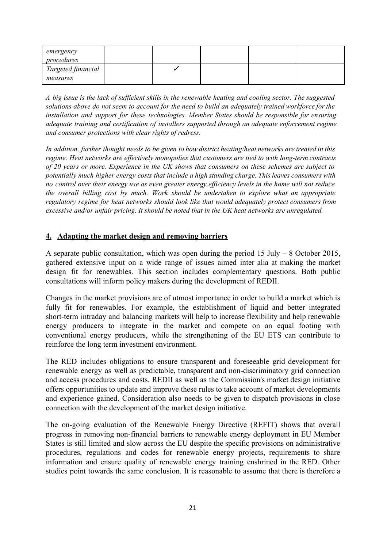| emergency<br>procedures |  |  |  |
|-------------------------|--|--|--|
| Targeted financial      |  |  |  |
| measures                |  |  |  |

A big issue is the lack of sufficient skills in the renewable heating and cooling sector. The suggested solutions above do not seem to account for the need to build an adequately trained workforce for the *installation and support for these technologies. Member States should be responsible for ensuring adequate training and certification of installers supported through an adequate enforcement regime and consumer protections with clear rights of redress.*

*In addition, further thought needs to be given to how district heating/heat networks are treated in this regime. Heat networks are effectively monopolies that customers are tied to with long-term contracts of 20 years or more. Experience in the UK shows that consumers on these schemes are subject to potentially much higher energy costs that include a high standing charge. This leaves consumers with* no control over their energy use as even greater energy efficiency levels in the home will not reduce *the overall billing cost by much. Work should be undertaken to explore what an appropriate regulatory regime for heat networks should look like that would adequately protect consumers from excessive and/or unfair pricing. It should be noted that in the UK heat networks are unregulated.*

## **4. Adapting the market design and removing barriers**

A separate public consultation, which was open during the period 15 July – 8 October 2015, gathered extensive input on a wide range of issues aimed inter alia at making the market design fit for renewables. This section includes complementary questions. Both public consultations will inform policy makers during the development of REDII.

Changes in the market provisions are of utmost importance in order to build a market which is fully fit for renewables. For example, the establishment of liquid and better integrated short-term intraday and balancing markets will help to increase flexibility and help renewable energy producers to integrate in the market and compete on an equal footing with conventional energy producers, while the strengthening of the EU ETS can contribute to reinforce the long term investment environment.

The RED includes obligations to ensure transparent and foreseeable grid development for renewable energy as well as predictable, transparent and non-discriminatory grid connection and access procedures and costs. REDII as well as the Commission's market design initiative offers opportunities to update and improve these rules to take account of market developments and experience gained. Consideration also needs to be given to dispatch provisions in close connection with the development of the market design initiative.

The on-going evaluation of the Renewable Energy Directive (REFIT) shows that overall progress in removing nonfinancial barriers to renewable energy deployment in EU Member States is still limited and slow across the EU despite the specific provisions on administrative procedures, regulations and codes for renewable energy projects, requirements to share information and ensure quality of renewable energy training enshrined in the RED. Other studies point towards the same conclusion. It is reasonable to assume that there is therefore a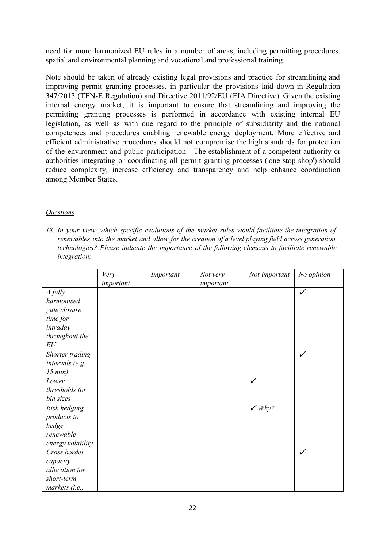need for more harmonized EU rules in a number of areas, including permitting procedures, spatial and environmental planning and vocational and professional training.

Note should be taken of already existing legal provisions and practice for streamlining and improving permit granting processes, in particular the provisions laid down in Regulation 347/2013 (TEN-E Regulation) and Directive 2011/92/EU (EIA Directive). Given the existing internal energy market, it is important to ensure that streamlining and improving the permitting granting processes is performed in accordance with existing internal EU legislation, as well as with due regard to the principle of subsidiarity and the national competences and procedures enabling renewable energy deployment. More effective and efficient administrative procedures should not compromise the high standards for protection of the environment and public participation. The establishment of a competent authority or authorities integrating or coordinating all permit granting processes ('one-stop-shop') should reduce complexity, increase efficiency and transparency and help enhance coordination among Member States.

### *Questions:*

*18. In your view, which specific evolutions of the market rules would facilitate the integration of renewables into the market and allow for the creation of a level playing field across generation technologies? Please indicate the importance of the following elements to facilitate renewable integration:*

|                   | Very      | Important | Not very  | Not important   | No opinion |
|-------------------|-----------|-----------|-----------|-----------------|------------|
|                   | important |           | important |                 |            |
| A fully           |           |           |           |                 | ✓          |
| harmonised        |           |           |           |                 |            |
| gate closure      |           |           |           |                 |            |
| time for          |           |           |           |                 |            |
| intraday          |           |           |           |                 |            |
| throughout the    |           |           |           |                 |            |
| EU                |           |           |           |                 |            |
| Shorter trading   |           |           |           |                 | ✓          |
| intervals (e.g.   |           |           |           |                 |            |
| 15 min)           |           |           |           |                 |            |
| Lower             |           |           |           | ✓               |            |
| thresholds for    |           |           |           |                 |            |
| bid sizes         |           |           |           |                 |            |
| Risk hedging      |           |           |           | $\swarrow$ Why? |            |
| products to       |           |           |           |                 |            |
| hedge             |           |           |           |                 |            |
| renewable         |           |           |           |                 |            |
| energy volatility |           |           |           |                 |            |
| Cross border      |           |           |           |                 | ✓          |
| capacity          |           |           |           |                 |            |
| allocation for    |           |           |           |                 |            |
| short-term        |           |           |           |                 |            |
| markets (i.e.,    |           |           |           |                 |            |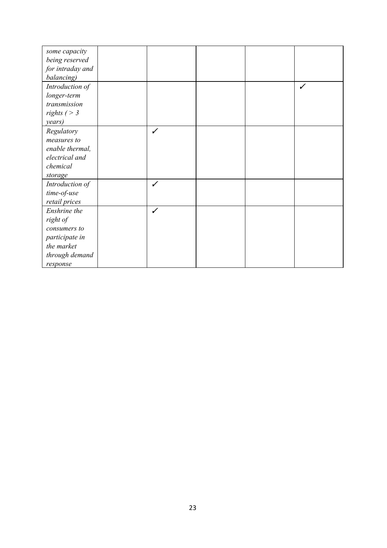| some capacity    |   |  |   |
|------------------|---|--|---|
| being reserved   |   |  |   |
| for intraday and |   |  |   |
| balancing)       |   |  |   |
| Introduction of  |   |  | ✓ |
| longer-term      |   |  |   |
| transmission     |   |  |   |
| rights $($ > 3   |   |  |   |
| years)           |   |  |   |
| Regulatory       | ✓ |  |   |
| measures to      |   |  |   |
| enable thermal,  |   |  |   |
| electrical and   |   |  |   |
| chemical         |   |  |   |
| storage          |   |  |   |
| Introduction of  | ✓ |  |   |
| time-of-use      |   |  |   |
| retail prices    |   |  |   |
| Enshrine the     | ✓ |  |   |
| right of         |   |  |   |
| consumers to     |   |  |   |
| participate in   |   |  |   |
| the market       |   |  |   |
| through demand   |   |  |   |
| response         |   |  |   |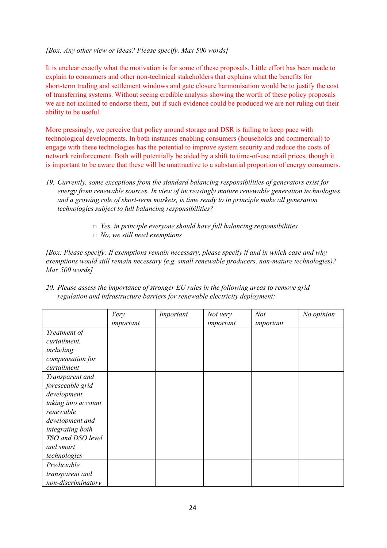#### *[Box: Any other view or ideas? Please specify. Max 500 words]*

It is unclear exactly what the motivation is for some of these proposals. Little effort has been made to explain to consumers and other non-technical stakeholders that explains what the benefits for short-term trading and settlement windows and gate closure harmonisation would be to justify the cost of transferring systems. Without seeing credible analysis showing the worth of these policy proposals we are not inclined to endorse them, but if such evidence could be produced we are not ruling out their ability to be useful.

More pressingly, we perceive that policy around storage and DSR is failing to keep pace with technological developments. In both instances enabling consumers (households and commercial) to engage with these technologies has the potential to improve system security and reduce the costs of network reinforcement. Both will potentially be aided by a shift to time-of-use retail prices, though it is important to be aware that these will be unattractive to a substantial proportion of energy consumers.

- *19. Currently, some exceptions from the standard balancing responsibilities of generators exist for energy from renewable sources. In view of increasingly mature renewable generation technologies and a* growing role of short-term markets, is time ready to in principle make all generation *technologies subject to full balancing responsibilities?*
	- *□ Yes, in principle everyone should have full balancing responsibilities*
	- *□ No, we still need exemptions*

*[Box: Please specify: If exemptions remain necessary, please specify if and in which case and why exemptions would still remain necessary (e.g. small renewable producers, nonmature technologies)? Max 500 words]*

|                     | Very      | Important | Not very  | <b>Not</b> | No opinion |
|---------------------|-----------|-----------|-----------|------------|------------|
|                     | important |           | important | important  |            |
| Treatment of        |           |           |           |            |            |
| curtailment,        |           |           |           |            |            |
| including           |           |           |           |            |            |
| compensation for    |           |           |           |            |            |
| curtailment         |           |           |           |            |            |
| Transparent and     |           |           |           |            |            |
| foreseeable grid    |           |           |           |            |            |
| development,        |           |           |           |            |            |
| taking into account |           |           |           |            |            |
| renewable           |           |           |           |            |            |
| development and     |           |           |           |            |            |
| integrating both    |           |           |           |            |            |
| TSO and DSO level   |           |           |           |            |            |
| and smart           |           |           |           |            |            |
| technologies        |           |           |           |            |            |
| Predictable         |           |           |           |            |            |
| transparent and     |           |           |           |            |            |
| non-discriminatory  |           |           |           |            |            |

*20. Please assess the importance of stronger EU rules in the following areas to remove grid regulation and infrastructure barriers for renewable electricity deployment:*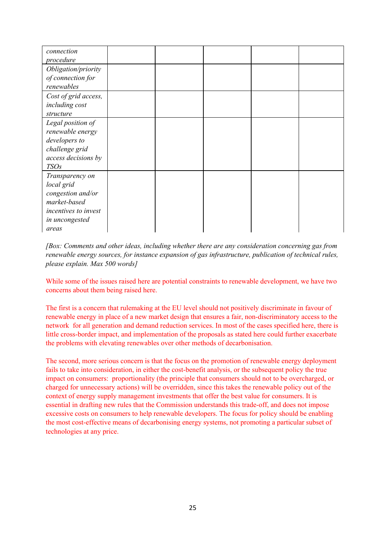| connection<br>procedure                                                                                               |  |  |  |
|-----------------------------------------------------------------------------------------------------------------------|--|--|--|
| Obligation/priority<br>of connection for<br>renewables                                                                |  |  |  |
| Cost of grid access,<br>including cost<br>structure                                                                   |  |  |  |
| Legal position of<br>renewable energy<br>developers to<br>challenge grid<br>access decisions by<br><b>TSOs</b>        |  |  |  |
| Transparency on<br>local grid<br>congestion and/or<br>market-based<br>incentives to invest<br>in uncongested<br>areas |  |  |  |

*[Box: Comments and other ideas, including whether there are any consideration concerning gas from renewable energy sources, for instance expansion of gas infrastructure, publication of technical rules, please explain. Max 500 words]*

While some of the issues raised here are potential constraints to renewable development, we have two concerns about them being raised here.

The first is a concern that rulemaking at the EU level should not positively discriminate in favour of renewable energy in place of a new market design that ensures a fair, non-discriminatory access to the network for all generation and demand reduction services. In most of the cases specified here, there is little cross-border impact, and implementation of the proposals as stated here could further exacerbate the problems with elevating renewables over other methods of decarbonisation.

The second, more serious concern is that the focus on the promotion of renewable energy deployment fails to take into consideration, in either the cost-benefit analysis, or the subsequent policy the true impact on consumers: proportionality (the principle that consumers should not to be overcharged, or charged for unnecessary actions) will be overridden, since this takes the renewable policy out of the context of energy supply management investments that offer the best value for consumers. It is essential in drafting new rules that the Commission understands this trade-off, and does not impose excessive costs on consumers to help renewable developers. The focus for policy should be enabling the most costeffective means of decarbonising energy systems, not promoting a particular subset of technologies at any price.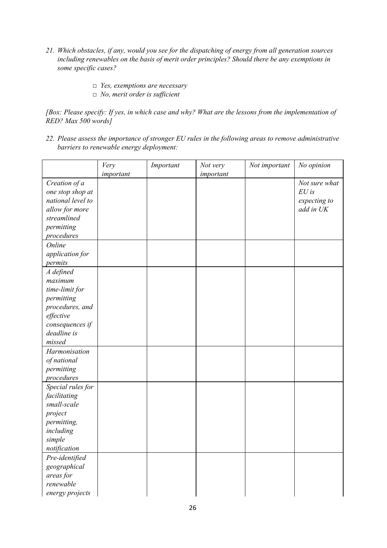- *21. Which obstacles, if any, would you see for the dispatching of energy from all generation sources including renewables on the basis of merit order principles? Should there be any exemptions in some specific cases?*
	- *□ Yes, exemptions are necessary*
	- *□ No, merit order is suf icient*

[Box: Please specify: If yes, in which case and why? What are the lessons from the implementation of *RED? Max 500 words]*

*22. Please assess the importance of stronger EU rules in the following areas to remove administrative barriers to renewable energy deployment:*

|                   | Very      | Important | Not very  | Not important | No opinion    |
|-------------------|-----------|-----------|-----------|---------------|---------------|
|                   | important |           | important |               |               |
| Creation of a     |           |           |           |               | Not sure what |
| one stop shop at  |           |           |           |               | $EU$ is       |
| national level to |           |           |           |               | expecting to  |
| allow for more    |           |           |           |               | add in UK     |
| streamlined       |           |           |           |               |               |
| permitting        |           |           |           |               |               |
| procedures        |           |           |           |               |               |
| Online            |           |           |           |               |               |
| application for   |           |           |           |               |               |
| permits           |           |           |           |               |               |
| A defined         |           |           |           |               |               |
| maximum           |           |           |           |               |               |
| time-limit for    |           |           |           |               |               |
| permitting        |           |           |           |               |               |
| procedures, and   |           |           |           |               |               |
| effective         |           |           |           |               |               |
| consequences if   |           |           |           |               |               |
| deadline is       |           |           |           |               |               |
| missed            |           |           |           |               |               |
| Harmonisation     |           |           |           |               |               |
| of national       |           |           |           |               |               |
| permitting        |           |           |           |               |               |
| procedures        |           |           |           |               |               |
| Special rules for |           |           |           |               |               |
| facilitating      |           |           |           |               |               |
| small-scale       |           |           |           |               |               |
| project           |           |           |           |               |               |
| permitting,       |           |           |           |               |               |
| including         |           |           |           |               |               |
| simple            |           |           |           |               |               |
| notification      |           |           |           |               |               |
| Pre-identified    |           |           |           |               |               |
| geographical      |           |           |           |               |               |
| areas for         |           |           |           |               |               |
| renewable         |           |           |           |               |               |
| energy projects   |           |           |           |               |               |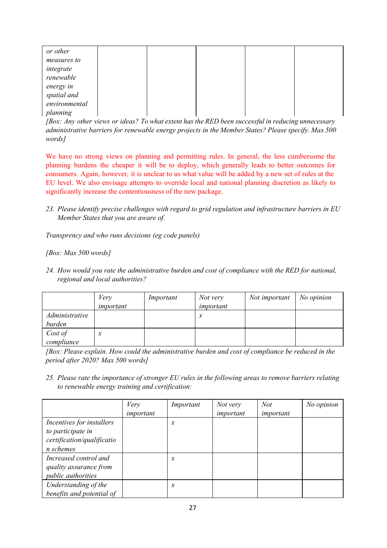| or other      |  |  |  |
|---------------|--|--|--|
| measures to   |  |  |  |
| integrate     |  |  |  |
| renewable     |  |  |  |
| energy in     |  |  |  |
| spatial and   |  |  |  |
| environmental |  |  |  |
| planning      |  |  |  |

*[Box: Any other views or ideas? To what extent has the RED been successful in reducing unnecessary administrative barriers for renewable energy projects in the Member States? Please specify. Max 500 words]*

We have no strong views on planning and permitting rules. In general, the less cumbersome the planning burdens the cheaper it will be to deploy, which generally leads to better outcomes for consumers. Again, however, it is unclear to us what value will be added by a new set of rules at the EU level. We also envisage attempts to override local and national planning discretion as likely to significantly increase the contentiousness of the new package.

*23. Please identify precise challenges with regard to grid regulation and infrastructure barriers in EU Member States that you are aware of.*

*Transprency and who runs decisions (eg code panels)*

*[Box: Max 500 words]*

*24. How would you rate the administrative burden and cost of compliance with the RED for national, regional and local authorities?*

|                          | Very<br>important | Important | Not very<br>important | Not important | No opinion |
|--------------------------|-------------------|-----------|-----------------------|---------------|------------|
| Administrative<br>burden |                   |           | х                     |               |            |
| Cost of<br>compliance    | $\boldsymbol{x}$  |           |                       |               |            |

*[Box: Please explain. How could the administrative burden and cost of compliance be reduced in the period after 2020? Max 500 words]*

*25. Please rate the importance of stronger EU rules in the following areas to remove barriers relating to renewable energy training and certification:*

|                            | Very      | Important           | Not very  | <b>Not</b> | No opinion |
|----------------------------|-----------|---------------------|-----------|------------|------------|
|                            | important |                     | important | important  |            |
| Incentives for installers  |           | $\boldsymbol{\chi}$ |           |            |            |
| to participate in          |           |                     |           |            |            |
| certification/qualificatio |           |                     |           |            |            |
| n schemes                  |           |                     |           |            |            |
| Increased control and      |           | $\mathcal{X}$       |           |            |            |
| quality assurance from     |           |                     |           |            |            |
| <i>public authorities</i>  |           |                     |           |            |            |
| Understanding of the       |           | x                   |           |            |            |
| benefits and potential of  |           |                     |           |            |            |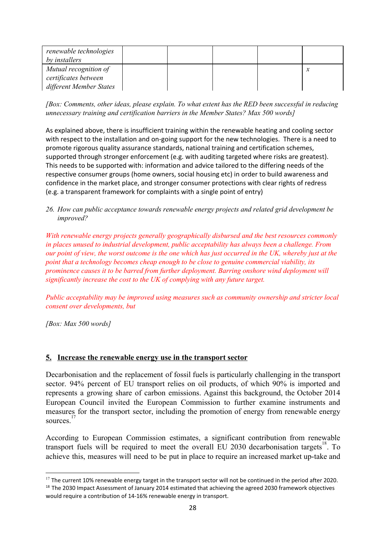| renewable technologies<br>by installers |  |  |        |
|-----------------------------------------|--|--|--------|
| Mutual recognition of                   |  |  | $\sim$ |
| certificates between                    |  |  |        |
| different Member States                 |  |  |        |

*[Box: Comments, other ideas, please explain. To what extent has the RED been successful in reducing unnecessary training and certification barriers in the Member States? Max 500 words]*

As explained above, there is insufficient training within the renewable heating and cooling sector with respect to the installation and on-going support for the new technologies. There is a need to promote rigorous quality assurance standards, national training and certification schemes, supported through stronger enforcement (e.g. with auditing targeted where risks are greatest). This needs to be supported with: information and advice tailored to the differing needs of the respective consumer groups (home owners, social housing etc) in order to build awareness and confidence in the market place, and stronger consumer protections with clear rights of redress (e.g. a transparent framework for complaints with a single point of entry)

*26. How can public acceptance towards renewable energy projects and related grid development be improved?*

*With renewable energy projects generally geographically disbursed and the best resources commonly in places unused to industrial development, public acceptability has always been a challenge. From* our point of view, the worst outcome is the one which has just occurred in the UK, whereby just at the *point that a technology becomes cheap enough to be close to genuine commercial viability, its prominence causes it to be barred from further deployment. Barring onshore wind deployment will significantly increase the cost to the UK of complying with any future target.*

*Public acceptability may be improved using measures such as community ownership and stricter local consent over developments, but*

*[Box: Max 500 words]*

#### **5. Increase the renewable energy use in the transport sector**

Decarbonisation and the replacement of fossil fuels is particularly challenging in the transport sector. 94% percent of EU transport relies on oil products, of which 90% is imported and represents a growing share of carbon emissions. Against this background, the October 2014 European Council invited the European Commission to further examine instruments and measures for the transport sector, including the promotion of energy from renewable energy sources. 17

According to European Commission estimates, a significant contribution from renewable transport fuels will be required to meet the overall  $\overline{E}U$  2030 decarbonisation targets<sup>18</sup>. To achieve this, measures will need to be put in place to require an increased market up-take and

 $17$  The current 10% renewable energy target in the transport sector will not be continued in the period after 2020. <sup>18</sup> The 2030 Impact Assessment of January 2014 estimated that achieving the agreed 2030 framework objectives would require a contribution of 14‐16% renewable energy in transport.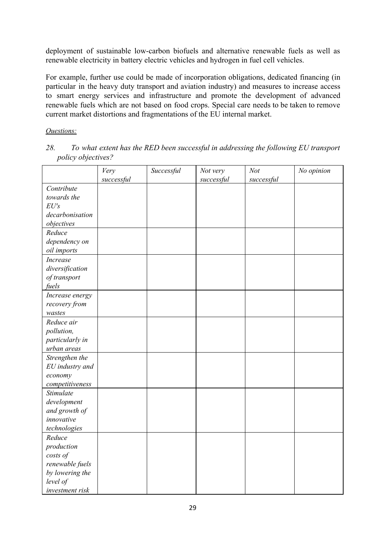deployment of sustainable low-carbon biofuels and alternative renewable fuels as well as renewable electricity in battery electric vehicles and hydrogen in fuel cell vehicles.

For example, further use could be made of incorporation obligations, dedicated financing (in particular in the heavy duty transport and aviation industry) and measures to increase access to smart energy services and infrastructure and promote the development of advanced renewable fuels which are not based on food crops. Special care needs to be taken to remove current market distortions and fragmentations of the EU internal market.

## *Questions:*

*28. To what extent has the RED been successful in addressing the following EU transport policy objectives?*

|                 | Very       | Successful | Not very   | Not        | No opinion |
|-----------------|------------|------------|------------|------------|------------|
|                 | successful |            | successful | successful |            |
| Contribute      |            |            |            |            |            |
| towards the     |            |            |            |            |            |
| EU's            |            |            |            |            |            |
| decarbonisation |            |            |            |            |            |
| objectives      |            |            |            |            |            |
| Reduce          |            |            |            |            |            |
| dependency on   |            |            |            |            |            |
| oil imports     |            |            |            |            |            |
| <b>Increase</b> |            |            |            |            |            |
| diversification |            |            |            |            |            |
| of transport    |            |            |            |            |            |
| fuels           |            |            |            |            |            |
| Increase energy |            |            |            |            |            |
| recovery from   |            |            |            |            |            |
| wastes          |            |            |            |            |            |
| Reduce air      |            |            |            |            |            |
| pollution,      |            |            |            |            |            |
| particularly in |            |            |            |            |            |
| urban areas     |            |            |            |            |            |
| Strengthen the  |            |            |            |            |            |
| EU industry and |            |            |            |            |            |
| economy         |            |            |            |            |            |
| competitiveness |            |            |            |            |            |
| Stimulate       |            |            |            |            |            |
| development     |            |            |            |            |            |
| and growth of   |            |            |            |            |            |
| innovative      |            |            |            |            |            |
| technologies    |            |            |            |            |            |
| Reduce          |            |            |            |            |            |
| production      |            |            |            |            |            |
| costs of        |            |            |            |            |            |
| renewable fuels |            |            |            |            |            |
| by lowering the |            |            |            |            |            |
| level of        |            |            |            |            |            |
| investment risk |            |            |            |            |            |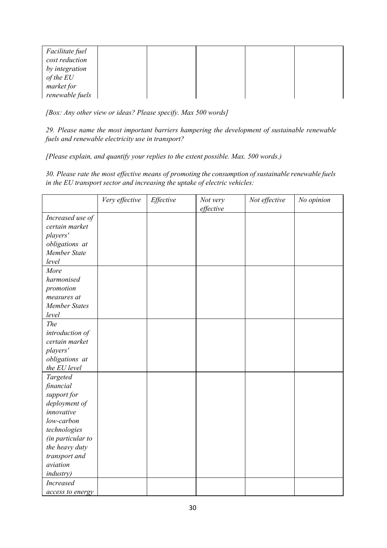| Facilitate fuel |  |  |  |
|-----------------|--|--|--|
| cost reduction  |  |  |  |
| by integration  |  |  |  |
| $of$ the $EU$   |  |  |  |
| market for      |  |  |  |
| renewable fuels |  |  |  |

*[Box: Any other view or ideas? Please specify. Max 500 words]*

*29. Please name the most important barriers hampering the development of sustainable renewable fuels and renewable electricity use in transport?*

*[Please explain, and quantify your replies to the extent possible. Max. 500 words.)*

*30. Please rate the most ef ective means of promoting the consumption of sustainable renewable fuels in the EU transport sector and increasing the uptake of electric vehicles:*

|                                    | Very effective | Effective | Not very<br>effective | Not effective | No opinion |
|------------------------------------|----------------|-----------|-----------------------|---------------|------------|
|                                    |                |           |                       |               |            |
| Increased use of<br>certain market |                |           |                       |               |            |
|                                    |                |           |                       |               |            |
| players'                           |                |           |                       |               |            |
| obligations at                     |                |           |                       |               |            |
| Member State                       |                |           |                       |               |            |
| level                              |                |           |                       |               |            |
| More                               |                |           |                       |               |            |
| harmonised                         |                |           |                       |               |            |
| promotion                          |                |           |                       |               |            |
| measures at                        |                |           |                       |               |            |
| <b>Member States</b>               |                |           |                       |               |            |
| level                              |                |           |                       |               |            |
| The                                |                |           |                       |               |            |
| introduction of                    |                |           |                       |               |            |
| certain market                     |                |           |                       |               |            |
| players'                           |                |           |                       |               |            |
| obligations at                     |                |           |                       |               |            |
| the EU level                       |                |           |                       |               |            |
| Targeted                           |                |           |                       |               |            |
| financial                          |                |           |                       |               |            |
| support for                        |                |           |                       |               |            |
| deployment of                      |                |           |                       |               |            |
| innovative                         |                |           |                       |               |            |
| low-carbon                         |                |           |                       |               |            |
| technologies                       |                |           |                       |               |            |
| (in particular to                  |                |           |                       |               |            |
| the heavy duty                     |                |           |                       |               |            |
| transport and                      |                |           |                       |               |            |
| aviation                           |                |           |                       |               |            |
| <i>industry</i> )                  |                |           |                       |               |            |
| <b>Increased</b>                   |                |           |                       |               |            |
| access to energy                   |                |           |                       |               |            |